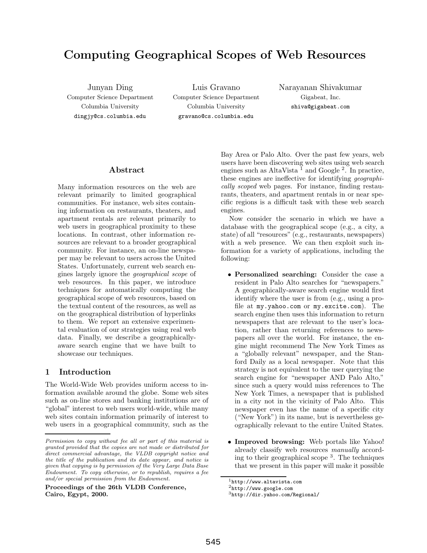# **Computing Geographical Scopes of Web Resources**

Junyan Ding Computer Science Department Columbia University dingjy@cs.columbia.edu

Luis Gravano Computer Science Department Columbia University gravano@cs.columbia.edu

Narayanan Shivakumar Gigabeat, Inc. shiva@gigabeat.com

## **Abstract**

Many information resources on the web are relevant primarily to limited geographical communities. For instance, web sites containing information on restaurants, theaters, and apartment rentals are relevant primarily to web users in geographical proximity to these locations. In contrast, other information resources are relevant to a broader geographical community. For instance, an on-line newspaper may be relevant to users across the United States. Unfortunately, current web search engines largely ignore the geographical scope of web resources. In this paper, we introduce techniques for automatically computing the geographical scope of web resources, based on the textual content of the resources, as well as on the geographical distribution of hyperlinks to them. We report an extensive experimental evaluation of our strategies using real web data. Finally, we describe a geographicallyaware search engine that we have built to showcase our techniques.

## **1 Introduction**

The World-Wide Web provides uniform access to information available around the globe. Some web sites such as on-line stores and banking institutions are of "global" interest to web users world-wide, while many web sites contain information primarily of interest to web users in a geographical community, such as the

**Proceedings of the 26th VLDB Conference, Cairo, Egypt, 2000.**

Bay Area or Palo Alto. Over the past few years, web users have been discovering web sites using web search engines such as AltaVista<sup>1</sup> and Google<sup>2</sup>. In practice, these engines are ineffective for identifying geographically scoped web pages. For instance, finding restaurants, theaters, and apartment rentals in or near specific regions is a difficult task with these web search engines.

Now consider the scenario in which we have a database with the geographical scope (e.g., a city, a state) of all "resources" (e.g., restaurants, newspapers) with a web presence. We can then exploit such information for a variety of applications, including the following:

- **Personalized searching:** Consider the case a resident in Palo Alto searches for "newspapers." A geographically-aware search engine would first identify where the user is from (e.g., using a profile at my.yahoo.com or my.excite.com). The search engine then uses this information to return newspapers that are relevant to the user's location, rather than returning references to newspapers all over the world. For instance, the engine might recommend The New York Times as a "globally relevant" newspaper, and the Stanford Daily as a local newspaper. Note that this strategy is not equivalent to the user querying the search engine for "newspaper AND Palo Alto," since such a query would miss references to The New York Times, a newspaper that is published in a city not in the vicinity of Palo Alto. This newspaper even has the name of a specific city ("New York") in its name, but is nevertheless geographically relevant to the entire United States.
- **Improved browsing:** Web portals like Yahoo! already classify web resources manually according to their geographical scope<sup>3</sup>. The techniques that we present in this paper will make it possible

Permission to copy without fee all or part of this material is granted provided that the copies are not made or distributed for direct commercial advantage, the VLDB copyright notice and the title of the publication and its date appear, and notice is given that copying is by permission of the Very Large Data Base Endowment. To copy otherwise, or to republish, requires a fee and/or special permission from the Endowment.

 $1$ http://www.altavista.com

 $^2$ http://www.google.com

<sup>3</sup>http://dir.yahoo.com/Regional/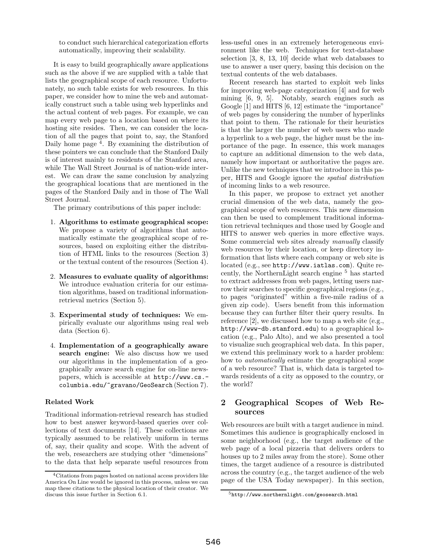to conduct such hierarchical categorization efforts automatically, improving their scalability.

It is easy to build geographically aware applications such as the above if we are supplied with a table that lists the geographical scope of each resource. Unfortunately, no such table exists for web resources. In this paper, we consider how to mine the web and automatically construct such a table using web hyperlinks and the actual content of web pages. For example, we can map every web page to a location based on where its hosting site resides. Then, we can consider the location of all the pages that point to, say, the Stanford Daily home page  $4$ . By examining the distribution of these pointers we can conclude that the Stanford Daily is of interest mainly to residents of the Stanford area, while The Wall Street Journal is of nation-wide interest. We can draw the same conclusion by analyzing the geographical locations that are mentioned in the pages of the Stanford Daily and in those of The Wall Street Journal.

The primary contributions of this paper include:

- 1. **Algorithms to estimate geographical scope:** We propose a variety of algorithms that automatically estimate the geographical scope of resources, based on exploiting either the distribution of HTML links to the resources (Section 3) or the textual content of the resources (Section 4).
- 2. **Measures to evaluate quality of algorithms:** We introduce evaluation criteria for our estimation algorithms, based on traditional informationretrieval metrics (Section 5).
- 3. **Experimental study of techniques:** We empirically evaluate our algorithms using real web data (Section 6).
- 4. **Implementation of a geographically aware search engine:** We also discuss how we used our algorithms in the implementation of a geographically aware search engine for on-line newspapers, which is accessible at http://www.cs. columbia.edu/~gravano/GeoSearch (Section 7).

## **Related Work**

Traditional information-retrieval research has studied how to best answer keyword-based queries over collections of text documents [14]. These collections are typically assumed to be relatively uniform in terms of, say, their quality and scope. With the advent of the web, researchers are studying other "dimensions" to the data that help separate useful resources from less-useful ones in an extremely heterogeneous environment like the web. Techniques for text-database selection [3, 8, 13, 10] decide what web databases to use to answer a user query, basing this decision on the textual contents of the web databases.

Recent research has started to exploit web links for improving web-page categorization [4] and for web mining [6, 9, 5]. Notably, search engines such as Google [1] and HITS [6, 12] estimate the "importance" of web pages by considering the number of hyperlinks that point to them. The rationale for their heuristics is that the larger the number of web users who made a hyperlink to a web page, the higher must be the importance of the page. In essence, this work manages to capture an additional dimension to the web data, namely how important or authoritative the pages are. Unlike the new techniques that we introduce in this paper, HITS and Google ignore the spatial distribution of incoming links to a web resource.

In this paper, we propose to extract yet another crucial dimension of the web data, namely the geographical scope of web resources. This new dimension can then be used to complement traditional information retrieval techniques and those used by Google and HITS to answer web queries in more effective ways. Some commercial web sites already manually classify web resources by their location, or keep directory information that lists where each company or web site is located (e.g., see http://www.iatlas.com). Quite recently, the NorthernLight search engine  $5$  has started to extract addresses from web pages, letting users narrow their searches to specific geographical regions (e.g., to pages "originated" within a five-mile radius of a given zip code). Users benefit from this information because they can further filter their query results. In reference [2], we discussed how to map a web site (e.g., http://www-db.stanford.edu) to a geographical location (e.g., Palo Alto), and we also presented a tool to visualize such geographical web data. In this paper, we extend this preliminary work to a harder problem: how to automatically estimate the geographical scope of a web resource? That is, which data is targeted towards residents of a city as opposed to the country, or the world?

# **2 Geographical Scopes of Web Resources**

Web resources are built with a target audience in mind. Sometimes this audience is geographically enclosed in some neighborhood (e.g., the target audience of the web page of a local pizzeria that delivers orders to houses up to 2 miles away from the store). Some other times, the target audience of a resource is distributed across the country (e.g., the target audience of the web page of the USA Today newspaper). In this section,

<sup>4</sup>Citations from pages hosted on national access providers like America On Line would be ignored in this process, unless we can map these citations to the physical location of their creator. We discuss this issue further in Section 6.1.

<sup>5</sup>http://www.northernlight.com/geosearch.html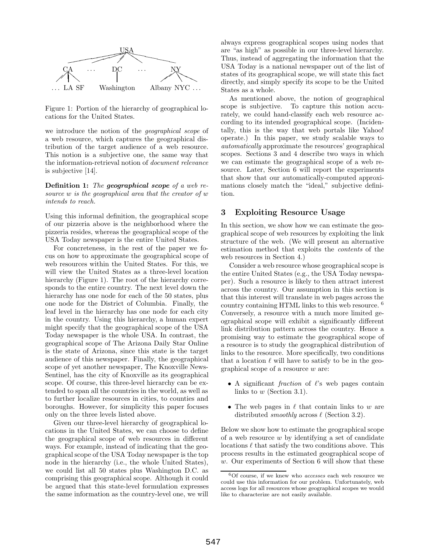

Figure 1: Portion of the hierarchy of geographical locations for the United States.

we introduce the notion of the geographical scope of a web resource, which captures the geographical distribution of the target audience of a web resource. This notion is a subjective one, the same way that the information-retrieval notion of document relevance is subjective [14].

**Definition 1:** The *geographical scope* of a web resource w is the geographical area that the creator of w intends to reach.

Using this informal definition, the geographical scope of our pizzeria above is the neighborhood where the pizzeria resides, whereas the geographical scope of the USA Today newspaper is the entire United States.

For concreteness, in the rest of the paper we focus on how to approximate the geographical scope of web resources within the United States. For this, we will view the United States as a three-level location hierarchy (Figure 1). The root of the hierarchy corresponds to the entire country. The next level down the hierarchy has one node for each of the 50 states, plus one node for the District of Columbia. Finally, the leaf level in the hierarchy has one node for each city in the country. Using this hierarchy, a human expert might specify that the geographical scope of the USA Today newspaper is the whole USA. In contrast, the geographical scope of The Arizona Daily Star Online is the state of Arizona, since this state is the target audience of this newspaper. Finally, the geographical scope of yet another newspaper, The Knoxville News-Sentinel, has the city of Knoxville as its geographical scope. Of course, this three-level hierarchy can be extended to span all the countries in the world, as well as to further localize resources in cities, to counties and boroughs. However, for simplicity this paper focuses only on the three levels listed above.

Given our three-level hierarchy of geographical locations in the United States, we can choose to define the geographical scope of web resources in different ways. For example, instead of indicating that the geographical scope of the USA Today newspaper is the top node in the hierarchy (i.e., the whole United States), we could list all 50 states plus Washington D.C. as comprising this geographical scope. Although it could be argued that this state-level formulation expresses the same information as the country-level one, we will

 $\sum_{\text{directly, and simply specify its scope to be the United}$ always express geographical scopes using nodes that are "as high" as possible in our three-level hierarchy. Thus, instead of aggregating the information that the USA Today is a national newspaper out of the list of states of its geographical scope, we will state this fact States as a whole.

> As mentioned above, the notion of geographical scope is subjective. To capture this notion accurately, we could hand-classify each web resource according to its intended geographical scope. (Incidentally, this is the way that web portals like Yahoo! operate.) In this paper, we study scalable ways to automatically approximate the resources' geographical scopes. Sections 3 and 4 describe two ways in which we can estimate the geographical scope of a web resource. Later, Section 6 will report the experiments that show that our automatically-computed approximations closely match the "ideal," subjective definition.

## **3 Exploiting Resource Usage**

In this section, we show how we can estimate the geographical scope of web resources by exploiting the link structure of the web. (We will present an alternative estimation method that exploits the contents of the web resources in Section 4.)

Consider a web resource whose geographical scope is the entire United States (e.g., the USA Today newspaper). Such a resource is likely to then attract interest across the country. Our assumption in this section is that this interest will translate in web pages across the country containing HTML links to this web resource. <sup>6</sup> Conversely, a resource with a much more limited geographical scope will exhibit a significantly different link distribution pattern across the country. Hence a promising way to estimate the geographical scope of a resource is to study the geographical distribution of links to the resource. More specifically, two conditions that a location  $\ell$  will have to satisfy to be in the geographical scope of a resource  $w$  are:

- A significant *fraction* of  $\ell$ 's web pages contain links to  $w$  (Section 3.1).
- The web pages in  $\ell$  that contain links to w are distributed *smoothly* across  $\ell$  (Section 3.2).

Below we show how to estimate the geographical scope of a web resource  $w$  by identifying a set of candidate locations  $\ell$  that satisfy the two conditions above. This process results in the estimated geographical scope of w. Our experiments of Section 6 will show that these

<sup>6</sup>Of course, if we knew who accesses each web resource we could use this information for our problem. Unfortunately, web access logs for all resources whose geographical scopes we would like to characterize are not easily available.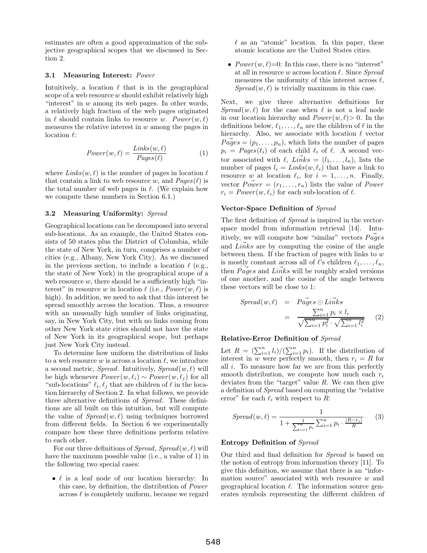estimates are often a good approximation of the subjective geographical scopes that we discussed in Section 2.

#### **3.1 Measuring Interest:** Power

Intuitively, a location  $\ell$  that is in the geographical scope of a web resource  $w$  should exhibit relatively high "interest" in  $w$  among its web pages. In other words, a relatively high fraction of the web pages originated in  $\ell$  should contain links to resource w. Power  $(w, \ell)$ measures the relative interest in  $w$  among the pages in location  $\ell$ :

$$
Power(w, \ell) = \frac{Links(w, \ell)}{Pages(\ell)} \tag{1}
$$

where  $\text{Links}(w, \ell)$  is the number of pages in location  $\ell$ that contain a link to web resource w, and  $Page(\ell)$  is the total number of web pages in  $\ell$ . (We explain how we compute these numbers in Section 6.1.)

#### **3.2 Measuring Uniformity:** Spread

Geographical locations can be decomposed into several sub-locations. As an example, the United States consists of 50 states plus the District of Columbia, while the state of New York, in turn, comprises a number of cities (e.g., Albany, New York City). As we discussed in the previous section, to include a location  $\ell$  (e.g., the state of New York) in the geographical scope of a web resource  $w$ , there should be a sufficiently high "interest" in resource w in location  $\ell$  (i.e.,  $Power(w, \ell)$  is high). In addition, we need to ask that this interest be spread smoothly across the location. Thus, a resource with an unusually high number of links originating, say, in New York City, but with no links coming from other New York state cities should not have the state of New York in its geographical scope, but perhaps just New York City instead.

To determine how uniform the distribution of links to a web resource w is across a location  $\ell$ , we introduce a second metric, Spread. Intuitively,  $S_{\text{pred}}(w, \ell)$  will be high whenever  $Power(w, \ell_i) \sim Power(w, \ell_j)$  for all "sub-locations"  $\ell_i, \ell_j$  that are children of  $\ell$  in the location hierarchy of Section 2. In what follows, we provide three alternative definitions of Spread. These definitions are all built on this intuition, but will compute the value of  $\textit{Spread}(w, \ell)$  using techniques borrowed from different fields. In Section 6 we experimentally compare how these three definitions perform relative to each other.

For our three definitions of  $Spread, Spread(w, \ell)$  will have the maximum possible value (i.e., a value of 1) in the following two special cases:

•  $\ell$  is a leaf node of our location hierarchy: In this case, by definition, the distribution of Power across  $\ell$  is completely uniform, because we regard  $\ell$  as an "atomic" location. In this paper, these atomic locations are the United States cities.

•  $Power(w, \ell)=0$ : In this case, there is no "interest" at all in resource  $w$  across location  $\ell$ . Since Spread measures the uniformity of this interest across  $\ell$ ,  $Spread(w, \ell)$  is trivially maximum in this case.

Next, we give three alternative definitions for  $Spread(w, \ell)$  for the case when  $\ell$  is not a leaf node in our location hierarchy and  $Power(w, \ell) > 0$ . In the definitions below,  $\ell_1,\ldots,\ell_n$  are the children of  $\ell$  in the hierarchy. Also, we associate with location  $\ell$  vector  $Pages = (p_1, \ldots, p_n)$ , which lists the number of pages  $p_i = Pages(\ell_i)$  of each child  $\ell_i$  of  $\ell$ . A second vector associated with  $\ell$ ,  $\overrightarrow{Links} = (l_1,\ldots,l_n)$ , lists the number of pages  $l_i = \text{Links}(w, \ell_i)$  that have a link to resource w at location  $\ell_i$ , for  $i = 1, \ldots, n$ . Finally, vector  $\vec{Power} = (r_1, \ldots, r_n)$  lists the value of Power  $r_i = Power(w, \ell_i)$  for each sub-location of  $\ell$ .

#### **Vector-Space Definition of** Spread

The first definition of Spread is inspired in the vectorspace model from information retrieval [14]. Intuitively, we will compute how "similar" vectors  $Pages$ and  $Links$  are by computing the cosine of the angle between them. If the fraction of pages with links to  $w$ is mostly constant across all of  $\ell$ 's children  $\ell_1,\ldots,\ell_n,$ then  $Pages$  and  $Links$  will be roughly scaled versions of one another, and the cosine of the angle between these vectors will be close to 1:

$$
Spread(w, \ell) = P \vec{ages} \odot \vec{Links}
$$
  
= 
$$
\frac{\sum_{i=1}^{n} p_i \times l_i}{\sqrt{\sum_{i=1}^{n} p_i^2} \cdot \sqrt{\sum_{i=1}^{n} l_i^2}}
$$
 (2)

#### **Relative-Error Definition of** Spread

Let  $R = (\sum_{i=1}^n l_i)/(\sum_{i=1}^n p_i)$ . If the distribution of interest in w were perfectly smooth, then  $r_i = R$  for all  $i$ . To measure how far we are from this perfectly smooth distribution, we compute how much each  $r_i$ deviates from the "target" value  $R$ . We can then give a definition of Spread based on computing the "relative error" for each  $\ell_i$  with respect to R:

$$
Spread(w, \ell) = \frac{1}{1 + \frac{1}{\sum_{i=1}^{n} p_i} \sum_{i=1}^{n} p_i \cdot \frac{|R - r_i|}{R}}
$$
(3)

#### **Entropy Definition of** Spread

Our third and final definition for Spread is based on the notion of entropy from information theory [11]. To give this definition, we assume that there is an "information source" associated with web resource w and geographical location  $\ell$ . The information source generates symbols representing the different children of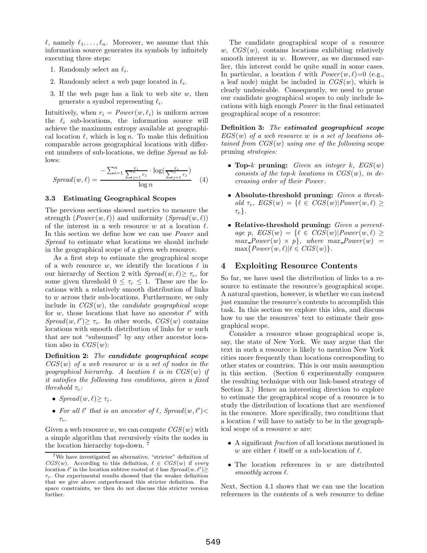$\ell$ , namely  $\ell_1,\ldots,\ell_n$ . Moreover, we assume that this information source generates its symbols by infinitely executing three steps:

- 1. Randomly select an  $\ell_i$ .
- 2. Randomly select a web page located in  $\ell_i$ .
- 3. If the web page has a link to web site  $w$ , then generate a symbol representing  $\ell_i$ .

Intuitively, when  $r_i = Power(w, \ell_i)$  is uniform across the  $\ell_i$  sub-locations, the information source will achieve the maximum entropy available at geographical location  $\ell$ , which is log n. To make this definition comparable across geographical locations with different numbers of sub-locations, we define Spread as follows:

$$
Spred(w, \ell) = \frac{-\sum_{i=1}^{n} \frac{r_i}{\sum_{j=1}^{n} r_j} \cdot \log(\frac{r_i}{\sum_{j=1}^{n} r_j})}{\log n} \tag{4}
$$

#### **3.3 Estimating Geographical Scopes**

The previous sections showed metrics to measure the strength  $(Power(w, \ell))$  and uniformity  $(Spread(w, \ell))$ of the interest in a web resource w at a location  $\ell$ . In this section we define how we can use Power and Spread to estimate what locations we should include in the geographical scope of a given web resource.

As a first step to estimate the geographical scope of a web resource w, we identify the locations  $\ell$  in our hierarchy of Section 2 with  $Spread(w, \ell) \geq \tau_c$ , for some given threshold  $0 \leq \tau_c \leq 1$ . These are the locations with a relatively smooth distribution of links to w across their sub-locations. Furthermore, we only include in  $CGS(w)$ , the *candidate geographical scope* for w, those locations that have no ancestor  $\ell'$  with  $Spread(w, \ell') \geq \tau_c$ . In other words,  $CGS(w)$  contains locations with smooth distribution of links for w such that are not "subsumed" by any other ancestor location also in  $CGS(w)$ :

**Definition 2:** The *candidate geographical scope*  $CGS(w)$  of a web resource w is a set of nodes in the geographical hierarchy. A location  $\ell$  is in  $CGS(w)$  if it satisfies the following two conditions, given a fixed threshold  $\tau_c$ :

- Spread $(w, \ell) \geq \tau_c$ .
- For all  $\ell'$  that is an ancestor of  $\ell$ , Spread $(w, \ell')$ <  $\tau_c$ .

Given a web resource w, we can compute  $CGS(w)$  with a simple algorithm that recursively visits the nodes in the location hierarchy top-down. <sup>7</sup>

The candidate geographical scope of a resource w,  $CGS(w)$ , contains locations exhibiting relatively smooth interest in w. However, as we discussed earlier, this interest could be quite small in some cases. In particular, a location  $\ell$  with  $Power(w, \ell)=0$  (e.g., a leaf node) might be included in  $CGS(w)$ , which is clearly undesirable. Consequently, we need to prune our candidate geographical scopes to only include locations with high enough Power in the final estimated geographical scope of a resource:

**Definition 3:** The *estimated geographical scope*  $EGS(w)$  of a web resource w is a set of locations obtained from  $CGS(w)$  using one of the following scope pruning strategies:

- **Top-**k **pruning:** Given an integer k, EGS(w) consists of the top-k locations in  $CGS(w)$ , in decreasing order of their Power .
- **Absolute-threshold pruning:** Given a threshold  $\tau_e$ ,  $EGS(w) = \{ \ell \in CGS(w) | Power(w, \ell) \geq$  $\tau_e$ }.
- **Relative-threshold pruning:** Given a percentage p,  $EGS(w) = \{ \ell \in CGS(w) | Power(w, \ell) \geq$  $max\_Power(w) \times p$ , where  $max\_Power(w) =$  $\max\{Power(w, \ell)| \ell \in CGS(w)\}.$

## **4 Exploiting Resource Contents**

So far, we have used the distribution of links to a resource to estimate the resource's geographical scope. A natural question, however, is whether we can instead just examine the resource's contents to accomplish this task. In this section we explore this idea, and discuss how to use the resources' text to estimate their geographical scope.

Consider a resource whose geographical scope is, say, the state of New York. We may argue that the text in such a resource is likely to mention New York cities more frequently than locations corresponding to other states or countries. This is our main assumption in this section. (Section 6 experimentally compares the resulting technique with our link-based strategy of Section 3.) Hence an interesting direction to explore to estimate the geographical scope of a resource is to study the distribution of locations that are mentioned in the resource. More specifically, two conditions that a location  $\ell$  will have to satisfy to be in the geographical scope of a resource w are:

- A significant fraction of all locations mentioned in w are either  $\ell$  itself or a sub-location of  $\ell$ .
- The location references in  $w$  are distributed smoothly across  $\ell$ .

Next, Section 4.1 shows that we can use the location references in the contents of a web resource to define

<sup>7</sup>We have investigated an alternative, "stricter" definition of  $CGS(w)$ . According to this definition,  $\ell \in CGS(w)$  if every location  $\ell'$  in the location subtree rooted at  $\ell$  has  $Spread(w, \ell') \geq$  $\tau_c$ . Our experimental results showed that the weaker definition that we give above outperformed this stricter definition. For space constraints, we then do not discuss this stricter version further.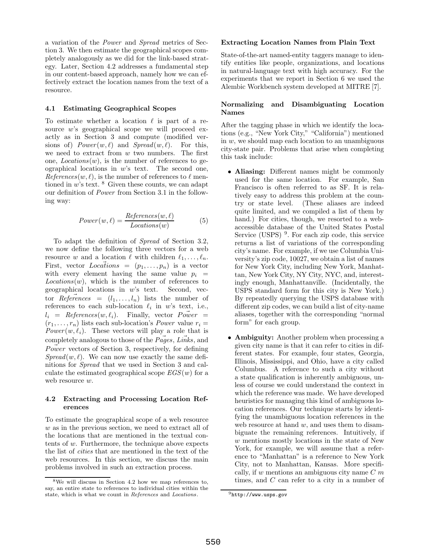a variation of the Power and Spread metrics of Section 3. We then estimate the geographical scopes completely analogously as we did for the link-based strategy. Later, Section 4.2 addresses a fundamental step in our content-based approach, namely how we can effectively extract the location names from the text of a resource.

#### **4.1 Estimating Geographical Scopes**

To estimate whether a location  $\ell$  is part of a resource w's geographical scope we will proceed exactly as in Section 3 and compute (modified versions of)  $Power(w, \ell)$  and  $Spread(w, \ell)$ . For this, we need to extract from  $w$  two numbers. The first one,  $Locations(w)$ , is the number of references to geographical locations in  $w$ 's text. The second one,  $References(w, \ell)$ , is the number of references to  $\ell$  mentioned in  $w$ 's text.  $8$  Given these counts, we can adapt our definition of Power from Section 3.1 in the following way:

$$
Power(w, \ell) = \frac{References(w, \ell)}{Locations(w)} \tag{5}
$$

To adapt the definition of Spread of Section 3.2, we now define the following three vectors for a web resource w and a location  $\ell$  with children  $\ell_1,\ldots,\ell_n$ . First, vector  $Locations = (p_1, \ldots, p_n)$  is a vector with every element having the same value  $p_i$  =  $Locations(w)$ , which is the number of references to geographical locations in  $w$ 's text. Second, vector  $References = (l_1, \ldots, l_n)$  lists the number of references to each sub-location  $\ell_i$  in w's text, i.e.,  $l_i$  = References $(w, \ell_i)$ . Finally, vector  $Power$  =  $(r_1,\ldots,r_n)$  lists each sub-location's *Power* value  $r_i =$ Power  $(w, \ell_i)$ . These vectors will play a role that is completely analogous to those of the *Pages*, Links, and  $Power$  vectors of Section 3, respectively, for defining  $Spread(w, \ell)$ . We can now use exactly the same definitions for Spread that we used in Section 3 and calculate the estimated geographical scope  $EGS(w)$  for a web resource  $w$ .

## **4.2 Extracting and Processing Location References**

To estimate the geographical scope of a web resource w as in the previous section, we need to extract all of the locations that are mentioned in the textual contents of w. Furthermore, the technique above expects the list of cities that are mentioned in the text of the web resources. In this section, we discuss the main problems involved in such an extraction process.

## **Extracting Location Names from Plain Text**

State-of-the-art named-entity taggers manage to identify entities like people, organizations, and locations in natural-language text with high accuracy. For the experiments that we report in Section 6 we used the Alembic Workbench system developed at MITRE [7].

## **Normalizing and Disambiguating Location Names**

After the tagging phase in which we identify the locations (e.g., "New York City," "California") mentioned in  $w$ , we should map each location to an unambiguous city-state pair. Problems that arise when completing this task include:

- **Aliasing:** Different names might be commonly used for the same location. For example, San Francisco is often referred to as SF. It is relatively easy to address this problem at the country or state level. (These aliases are indeed quite limited, and we compiled a list of them by hand.) For cities, though, we resorted to a webaccessible database of the United States Postal Service (USPS)  $9$ . For each zip code, this service returns a list of variations of the corresponding city's name. For example, if we use Columbia University's zip code, 10027, we obtain a list of names for New York City, including New York, Manhattan, New York City, NY City, NYC, and, interestingly enough, Manhattanville. (Incidentally, the USPS standard form for this city is New York.) By repeatedly querying the USPS database with different zip codes, we can build a list of city-name aliases, together with the corresponding "normal form" for each group.
- **Ambiguity:** Another problem when processing a given city name is that it can refer to cities in different states. For example, four states, Georgia, Illinois, Mississippi, and Ohio, have a city called Columbus. A reference to such a city without a state qualification is inherently ambiguous, unless of course we could understand the context in which the reference was made. We have developed heuristics for managing this kind of ambiguous location references. Our technique starts by identifying the unambiguous location references in the web resource at hand  $w$ , and uses them to disambiguate the remaining references. Intuitively, if w mentions mostly locations in the state of New York, for example, we will assume that a reference to "Manhattan" is a reference to New York City, not to Manhattan, Kansas. More specifically, if w mentions an ambiguous city name  $C<sub>m</sub>$ times, and C can refer to a city in a number of

<sup>8</sup>We will discuss in Section 4.2 how we map references to, say, an entire state to references to individual cities within the state, which is what we count in References and Locations.

<sup>9</sup>http://www.usps.gov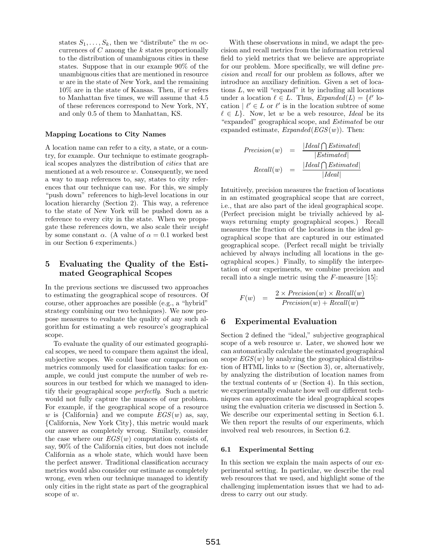states  $S_1, \ldots, S_k$ , then we "distribute" the m occurrences of  $C$  among the  $k$  states proportionally to the distribution of unambiguous cities in these states. Suppose that in our example 90% of the unambiguous cities that are mentioned in resource w are in the state of New York, and the remaining  $10\%$  are in the state of Kansas. Then, if w refers to Manhattan five times, we will assume that 4.5 of these references correspond to New York, NY, and only 0.5 of them to Manhattan, KS.

#### **Mapping Locations to City Names**

A location name can refer to a city, a state, or a country, for example. Our technique to estimate geographical scopes analyzes the distribution of cities that are mentioned at a web resource  $w$ . Consequently, we need a way to map references to, say, states to city references that our technique can use. For this, we simply "push down" references to high-level locations in our location hierarchy (Section 2). This way, a reference to the state of New York will be pushed down as a reference to every city in the state. When we propagate these references down, we also scale their weight by some constant  $\alpha$ . (A value of  $\alpha = 0.1$  worked best in our Section 6 experiments.)

# **5 Evaluating the Quality of the Estimated Geographical Scopes**

In the previous sections we discussed two approaches to estimating the geographical scope of resources. Of course, other approaches are possible (e.g., a "hybrid" strategy combining our two techniques). We now propose measures to evaluate the quality of any such algorithm for estimating a web resource's geographical scope.

To evaluate the quality of our estimated geographical scopes, we need to compare them against the ideal, subjective scopes. We could base our comparison on metrics commonly used for classification tasks: for example, we could just compute the number of web resources in our testbed for which we managed to identify their geographical scope perfectly. Such a metric would not fully capture the nuances of our problem. For example, if the geographical scope of a resource w is {California} and we compute  $EGS(w)$  as, say, {California, New York City}, this metric would mark our answer as completely wrong. Similarly, consider the case where our  $EGS(w)$  computation consists of, say, 90% of the California cities, but does not include California as a whole state, which would have been the perfect answer. Traditional classification accuracy metrics would also consider our estimate as completely wrong, even when our technique managed to identify only cities in the right state as part of the geographical scope of w.

With these observations in mind, we adapt the precision and recall metrics from the information retrieval field to yield metrics that we believe are appropriate for our problem. More specifically, we will define precision and recall for our problem as follows, after we introduce an auxiliary definition. Given a set of locations  $L$ , we will "expand" it by including all locations under a location  $\ell \in L$ . Thus,  $Expanded(L) = \{\ell' \text{ lo-} \}$ cation  $\ell' \in L$  or  $\ell'$  is in the location subtree of some  $\ell \in L$ . Now, let w be a web resource, Ideal be its "expanded" geographical scope, and Estimated be our expanded estimate,  $Expanded(EGS(w))$ . Then:

$$
Precision(w) = \frac{|Ideal \bigcap Estimated|}{|Estimated|}
$$

$$
Recall(w) = \frac{|Ideal \bigcap Estimated|}{|Ideal|}
$$

Intuitively, precision measures the fraction of locations in an estimated geographical scope that are correct, i.e., that are also part of the ideal geographical scope. (Perfect precision might be trivially achieved by always returning empty geographical scopes.) Recall measures the fraction of the locations in the ideal geographical scope that are captured in our estimated geographical scope. (Perfect recall might be trivially achieved by always including all locations in the geographical scopes.) Finally, to simplify the interpretation of our experiments, we combine precision and recall into a single metric using the F-measure [15]:

$$
F(w) = \frac{2 \times Precision(w) \times Recall(w)}{Precision(w) + Recall(w)}
$$

## **6 Experimental Evaluation**

Section 2 defined the "ideal," subjective geographical scope of a web resource  $w$ . Later, we showed how we can automatically calculate the estimated geographical scope  $EGS(w)$  by analyzing the geographical distribution of HTML links to w (Section 3), or, alternatively, by analyzing the distribution of location names from the textual contents of  $w$  (Section 4). In this section, we experimentally evaluate how well our different techniques can approximate the ideal geographical scopes using the evaluation criteria we discussed in Section 5. We describe our experimental setting in Section 6.1. We then report the results of our experiments, which involved real web resources, in Section 6.2.

## **6.1 Experimental Setting**

In this section we explain the main aspects of our experimental setting. In particular, we describe the real web resources that we used, and highlight some of the challenging implementation issues that we had to address to carry out our study.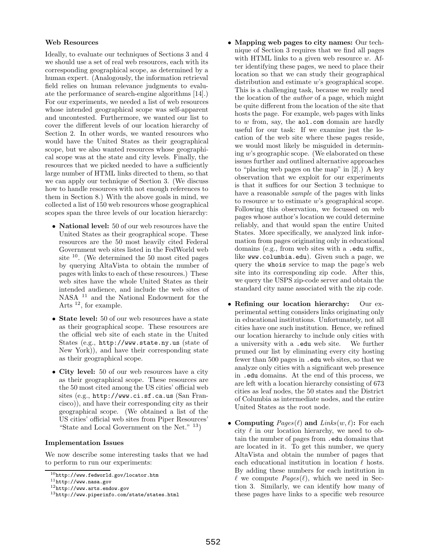## **Web Resources**

Ideally, to evaluate our techniques of Sections 3 and 4 we should use a set of real web resources, each with its corresponding geographical scope, as determined by a human expert. (Analogously, the information retrieval field relies on human relevance judgments to evaluate the performance of search-engine algorithms [14].) For our experiments, we needed a list of web resources whose intended geographical scope was self-apparent and uncontested. Furthermore, we wanted our list to cover the different levels of our location hierarchy of Section 2. In other words, we wanted resources who would have the United States as their geographical scope, but we also wanted resources whose geographical scope was at the state and city levels. Finally, the resources that we picked needed to have a sufficiently large number of HTML links directed to them, so that we can apply our technique of Section 3. (We discuss how to handle resources with not enough references to them in Section 8.) With the above goals in mind, we collected a list of 150 web resources whose geographical scopes span the three levels of our location hierarchy:

- **National level:** 50 of our web resources have the United States as their geographical scope. These resources are the 50 most heavily cited Federal Government web sites listed in the FedWorld web site <sup>10</sup>. (We determined the 50 most cited pages by querying AltaVista to obtain the number of pages with links to each of these resources.) These web sites have the whole United States as their intended audience, and include the web sites of NASA <sup>11</sup> and the National Endowment for the Arts <sup>12</sup>, for example.
- **State level:** 50 of our web resources have a state as their geographical scope. These resources are the official web site of each state in the United States (e.g., http://www.state.ny.us (state of New York)), and have their corresponding state as their geographical scope.
- **City level:** 50 of our web resources have a city as their geographical scope. These resources are the 50 most cited among the US cities' official web sites (e.g., http://www.ci.sf.ca.us (San Francisco)), and have their corresponding city as their geographical scope. (We obtained a list of the US cities' official web sites from Piper Resources' "State and Local Government on the Net."  $13$ )

#### **Implementation Issues**

We now describe some interesting tasks that we had to perform to run our experiments:

- **Mapping web pages to city names:** Our technique of Section 3 requires that we find all pages with HTML links to a given web resource  $w$ . After identifying these pages, we need to place their location so that we can study their geographical distribution and estimate w's geographical scope. This is a challenging task, because we really need the location of the author of a page, which might be quite different from the location of the site that hosts the page. For example, web pages with links to  $w$  from, say, the  $\texttt{aol.com}$  domain are hardly useful for our task: If we examine just the location of the web site where these pages reside, we would most likely be misguided in determining w's geographic scope. (We elaborated on these issues further and outlined alternative approaches to "placing web pages on the map" in [2].) A key observation that we exploit for our experiments is that it suffices for our Section 3 technique to have a reasonable *sample* of the pages with links to resource  $w$  to estimate  $w$ 's geographical scope. Following this observation, we focussed on web pages whose author's location we could determine reliably, and that would span the entire United States. More specifically, we analyzed link information from pages originating only in educational domains (e.g., from web sites with a .edu suffix, like www.columbia.edu). Given such a page, we query the whois service to map the page's web site into its corresponding zip code. After this, we query the USPS zip-code server and obtain the standard city name associated with the zip code.
- **Refining our location hierarchy:** Our experimental setting considers links originating only in educational institutions. Unfortunately, not all cities have one such institution. Hence, we refined our location hierarchy to include only cities with a university with a .edu web site. We further pruned our list by eliminating every city hosting fewer than 500 pages in .edu web sites, so that we analyze only cities with a significant web presence in .edu domains. At the end of this process, we are left with a location hierarchy consisting of 673 cities as leaf nodes, the 50 states and the District of Columbia as intermediate nodes, and the entire United States as the root node.
- **Computing**  $Page(\ell)$  **and**  $Links(w, \ell)$ : For each city  $\ell$  in our location hierarchy, we need to obtain the number of pages from .edu domains that are located in it. To get this number, we query AltaVista and obtain the number of pages that each educational institution in location  $\ell$  hosts. By adding these numbers for each institution in  $\ell$  we compute  $Page(\ell)$ , which we need in Section 3. Similarly, we can identify how many of these pages have links to a specific web resource

 $10$ http://www.fedworld.gov/locator.htm<br> $11$ http://www.nasa.gov<br> $12$ http://www.arts.endow.gov<br> $13$ http://www.piperinfo.com/state/states.html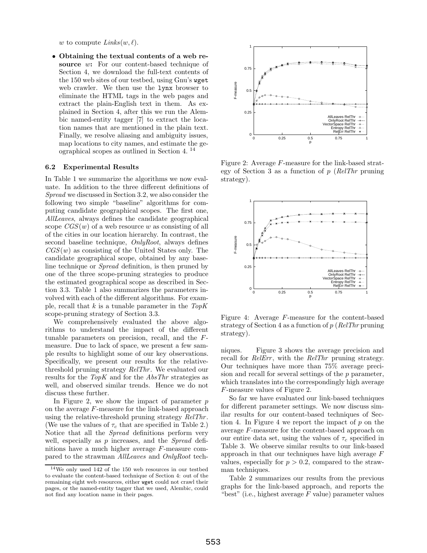w to compute  $\text{Links}(w, \ell)$ .

• **Obtaining the textual contents of a web resource** w**:** For our content-based technique of Section 4, we download the full-text contents of the 150 web sites of our testbed, using Gnu's wget web crawler. We then use the lynx browser to eliminate the HTML tags in the web pages and extract the plain-English text in them. As explained in Section 4, after this we run the Alembic named-entity tagger [7] to extract the location names that are mentioned in the plain text. Finally, we resolve aliasing and ambiguity issues, map locations to city names, and estimate the geographical scopes as outlined in Section 4. <sup>14</sup>

#### **6.2 Experimental Results**

In Table 1 we summarize the algorithms we now evaluate. In addition to the three different definitions of Spread we discussed in Section 3.2, we also consider the following two simple "baseline" algorithms for computing candidate geographical scopes. The first one, AllLeaves, always defines the candidate geographical scope  $CGS(w)$  of a web resource w as consisting of all of the cities in our location hierarchy. In contrast, the second baseline technique, OnlyRoot, always defines  $CGS(w)$  as consisting of the United States only. The candidate geographical scope, obtained by any baseline technique or Spread definition, is then pruned by one of the three scope-pruning strategies to produce the estimated geographical scope as described in Section 3.3. Table 1 also summarizes the parameters involved with each of the different algorithms. For example, recall that  $k$  is a tunable parameter in the  $TopK$ scope-pruning strategy of Section 3.3.

We comprehensively evaluated the above algorithms to understand the impact of the different tunable parameters on precision, recall, and the Fmeasure. Due to lack of space, we present a few sample results to highlight some of our key observations. Specifically, we present our results for the relativethreshold pruning strategy RelThr. We evaluated our results for the TopK and for the AbsThr strategies as well, and observed similar trends. Hence we do not discuss these further.

In Figure 2, we show the impact of parameter  $p$ on the average F-measure for the link-based approach using the relative-threshold pruning strategy RelThr. (We use the values of  $\tau_c$  that are specified in Table 2.) Notice that all the *Spread* definitions perform very well, especially as  $p$  increases, and the *Spread* definitions have a much higher average F-measure compared to the strawman AllLeaves and OnlyRoot tech-



Figure 2: Average F-measure for the link-based strategy of Section 3 as a function of  $p$  (RelThr pruning) strategy).



Figure 4: Average F-measure for the content-based strategy of Section 4 as a function of  $p$  (RelThr pruning) strategy).

niques. Figure 3 shows the average precision and recall for *RelErr*, with the *RelThr* pruning strategy. Our techniques have more than 75% average precision and recall for several settings of the p parameter, which translates into the correspondingly high average F-measure values of Figure 2.

So far we have evaluated our link-based techniques for different parameter settings. We now discuss similar results for our content-based techniques of Section 4. In Figure 4 we report the impact of  $p$  on the average F-measure for the content-based approach on our entire data set, using the values of  $\tau_c$  specified in Table 3. We observe similar results to our link-based approach in that our techniques have high average F values, especially for  $p > 0.2$ , compared to the strawman techniques.

Table 2 summarizes our results from the previous graphs for the link-based approach, and reports the "best" (i.e., highest average  $F$  value) parameter values

<sup>14</sup>We only used 142 of the 150 web resources in our testbed to evaluate the content-based technique of Section 4: out of the remaining eight web resources, either wget could not crawl their pages, or the named-entity tagger that we used, Alembic, could not find any location name in their pages.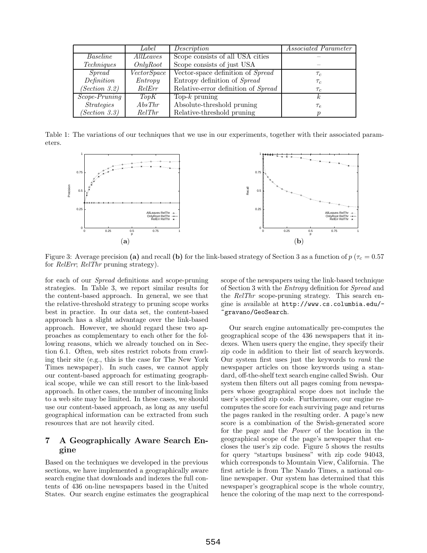|                   | Label              | Description                         | <i>Associated Parameter</i> |
|-------------------|--------------------|-------------------------------------|-----------------------------|
| Baseline          | AllLeaves          | Scope consists of all USA cities    |                             |
| Techniques        | OnlyRoot           | Scope consists of just USA          |                             |
| $S$ <i>pread</i>  | <i>VectorSpace</i> | Vector-space definition of Spread   | $\tau_c$                    |
| Definition        | Entropy            | Entropy definition of Spread        | $\tau_c$                    |
| (Section 3.2)     | ReIErr             | Relative-error definition of Spread | $\tau_c$                    |
| $Scope-Pruning$   | TopK               | Top- $k$ pruning                    |                             |
| <i>Strategies</i> | AbsThr             | Absolute-threshold pruning          | $\tau_e$                    |
| (Section 3.3)     | RelThr             | Relative-threshold pruning          |                             |

Table 1: The variations of our techniques that we use in our experiments, together with their associated parameters.



Figure 3: Average precision (a) and recall (b) for the link-based strategy of Section 3 as a function of  $p(\tau_c = 0.57)$ for RelErr; RelThr pruning strategy).

for each of our Spread definitions and scope-pruning strategies. In Table 3, we report similar results for the content-based approach. In general, we see that the relative-threshold strategy to pruning scope works best in practice. In our data set, the content-based approach has a slight advantage over the link-based approach. However, we should regard these two approaches as complementary to each other for the following reasons, which we already touched on in Section 6.1. Often, web sites restrict robots from crawling their site (e.g., this is the case for The New York Times newspaper). In such cases, we cannot apply our content-based approach for estimating geographical scope, while we can still resort to the link-based approach. In other cases, the number of incoming links to a web site may be limited. In these cases, we should use our content-based approach, as long as any useful geographical information can be extracted from such resources that are not heavily cited.

# **7 A Geographically Aware Search Engine**

Based on the techniques we developed in the previous sections, we have implemented a geographically aware search engine that downloads and indexes the full contents of 436 on-line newspapers based in the United States. Our search engine estimates the geographical

scope of the newspapers using the link-based technique of Section 3 with the Entropy definition for Spread and the RelThr scope-pruning strategy. This search engine is available at http://www.cs.columbia.edu/- ~gravano/GeoSearch.

Our search engine automatically pre-computes the geographical scope of the 436 newspapers that it indexes. When users query the engine, they specify their zip code in addition to their list of search keywords. Our system first uses just the keywords to rank the newspaper articles on those keywords using a standard, off-the-shelf text search engine called Swish. Our system then filters out all pages coming from newspapers whose geographical scope does not include the user's specified zip code. Furthermore, our engine recomputes the score for each surviving page and returns the pages ranked in the resulting order. A page's new score is a combination of the Swish-generated score for the page and the Power of the location in the geographical scope of the page's newspaper that encloses the user's zip code. Figure 5 shows the results for query "startups business" with zip code 94043, which corresponds to Mountain View, California. The first article is from The Nando Times, a national online newspaper. Our system has determined that this newspaper's geographical scope is the whole country, hence the coloring of the map next to the correspond-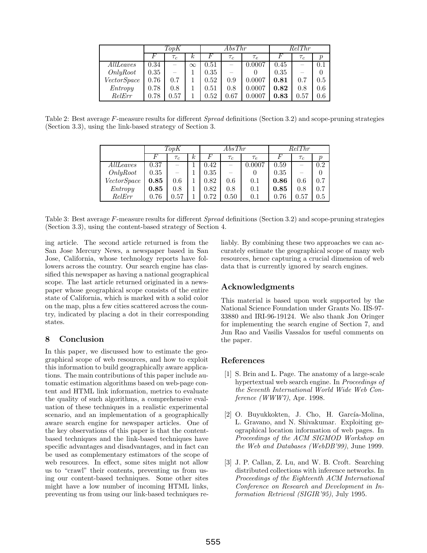|                    | TopK |          |          | AbsThr |          |                | RelThr |          |                  |
|--------------------|------|----------|----------|--------|----------|----------------|--------|----------|------------------|
|                    |      | $\tau_c$ | $\kappa$ | F      | $\tau_c$ | $\tau_e$       |        | $\tau_c$ | $\boldsymbol{p}$ |
| AllLeaves          | 0.34 |          | $\infty$ | 0.51   |          | 0.0007         | 0.45   |          | 0.1              |
| OnlyRoot           | 0.35 |          |          | 0.35   |          |                | 0.35   |          | $\theta$         |
| <i>VectorSpace</i> | 0.76 | 0.7      |          | 0.52   | 0.9      | 0.0007         | 0.81   | 0.7      | 0.5              |
| Entropy            | 0.78 | 0.8      |          | 0.51   | 0.8      | $\, 0.0007 \,$ | 0.82   | 0.8      | 0.6              |
| RelErr             | 0.78 | 0.57     |          | 0.52   | 0.67     | $0.0007\,$     | 0.83   | 0.57     | $0.6\,$          |

Table 2: Best average F-measure results for different *Spread* definitions (Section 3.2) and scope-pruning strategies (Section 3.3), using the link-based strategy of Section 3.

|             | TopK |                          |          | AbsThr |                          |          | RelThr   |                          |                  |
|-------------|------|--------------------------|----------|--------|--------------------------|----------|----------|--------------------------|------------------|
|             |      | $\tau_c$                 | $\kappa$ |        | $\tau_c$                 | $\tau_e$ |          | $\tau_c$                 | $\boldsymbol{p}$ |
| AllLeaves   | 0.37 | $\overline{\phantom{0}}$ |          | 0.42   | $\overline{\phantom{0}}$ | 0.0007   | 0.59     | $\overline{\phantom{0}}$ | 0.2              |
| OnlyRoot    | 0.35 |                          |          | 0.35   |                          |          | 0.35     |                          |                  |
| VectorSpace | 0.85 | 0.6                      |          | 0.82   | 0.6                      | 0.1      | 0.86     | 0.6                      | 0.7              |
| Entropy     | 0.85 | 0.8                      |          | 0.82   | 0.8                      | 0.1      | 0.85     | 0.8                      | 0.7              |
| RelErr      | 0.76 | 0.57                     |          | 0.72   | 0.50                     | 0.1      | $0.76\,$ | $_{0.57}$                | $0.5\,$          |

Table 3: Best average F-measure results for different Spread definitions (Section 3.2) and scope-pruning strategies (Section 3.3), using the content-based strategy of Section 4.

ing article. The second article returned is from the San Jose Mercury News, a newspaper based in San Jose, California, whose technology reports have followers across the country. Our search engine has classified this newspaper as having a national geographical scope. The last article returned originated in a newspaper whose geographical scope consists of the entire state of California, which is marked with a solid color on the map, plus a few cities scattered across the country, indicated by placing a dot in their corresponding states.

# **8 Conclusion**

In this paper, we discussed how to estimate the geographical scope of web resources, and how to exploit this information to build geographically aware applications. The main contributions of this paper include automatic estimation algorithms based on web-page content and HTML link information, metrics to evaluate the quality of such algorithms, a comprehensive evaluation of these techniques in a realistic experimental scenario, and an implementation of a geographically aware search engine for newspaper articles. One of the key observations of this paper is that the contentbased techniques and the link-based techniques have specific advantages and disadvantages, and in fact can be used as complementary estimators of the scope of web resources. In effect, some sites might not allow us to "crawl" their contents, preventing us from using our content-based techniques. Some other sites might have a low number of incoming HTML links, preventing us from using our link-based techniques reliably. By combining these two approaches we can accurately estimate the geographical scope of many web resources, hence capturing a crucial dimension of web data that is currently ignored by search engines.

# **Acknowledgments**

This material is based upon work supported by the National Science Foundation under Grants No. IIS-97- 33880 and IRI-96-19124. We also thank Jon Oringer for implementing the search engine of Section 7, and Jun Rao and Vasilis Vassalos for useful comments on the paper.

# **References**

- [1] S. Brin and L. Page. The anatomy of a large-scale hypertextual web search engine. In Proceedings of the Seventh International World Wide Web Conference (WWW7), Apr. 1998.
- [2] O. Buyukkokten, J. Cho, H. García-Molina, L. Gravano, and N. Shivakumar. Exploiting geographical location information of web pages. In Proceedings of the ACM SIGMOD Workshop on the Web and Databases (WebDB'99), June 1999.
- [3] J. P. Callan, Z. Lu, and W. B. Croft. Searching distributed collections with inference networks. In Proceedings of the Eighteenth ACM International Conference on Research and Development in Information Retrieval (SIGIR'95), July 1995.